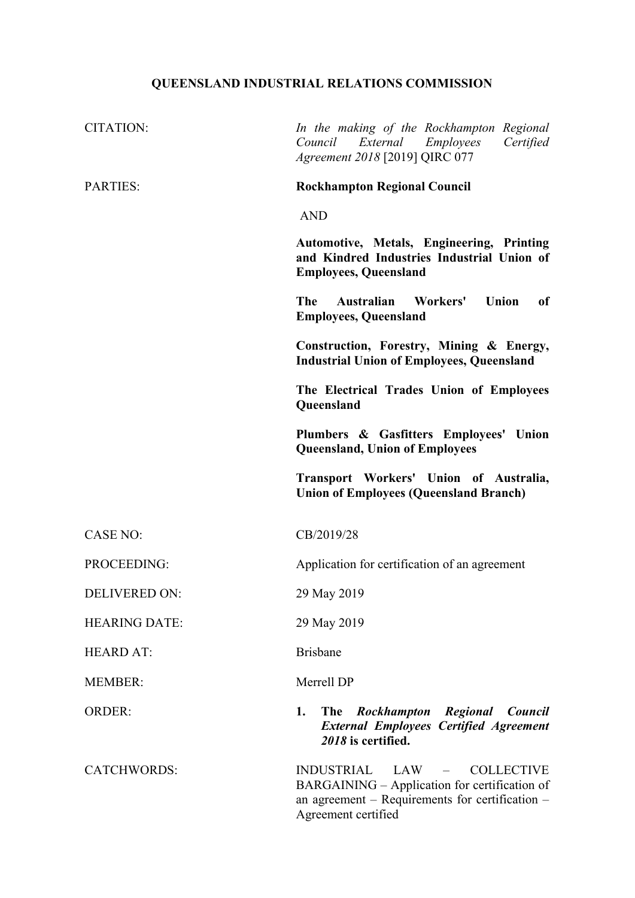## **QUEENSLAND INDUSTRIAL RELATIONS COMMISSION**

| <b>CITATION:</b>     | In the making of the Rockhampton Regional<br>Council<br>External Employees<br>Certified<br>Agreement 2018 [2019] QIRC 077                                        |
|----------------------|------------------------------------------------------------------------------------------------------------------------------------------------------------------|
| <b>PARTIES:</b>      | <b>Rockhampton Regional Council</b>                                                                                                                              |
|                      | <b>AND</b>                                                                                                                                                       |
|                      | Automotive, Metals, Engineering, Printing<br>and Kindred Industries Industrial Union of<br><b>Employees, Queensland</b>                                          |
|                      | Australian Workers'<br>Union<br><b>The</b><br><sub>of</sub><br><b>Employees, Queensland</b>                                                                      |
|                      | Construction, Forestry, Mining & Energy,<br><b>Industrial Union of Employees, Queensland</b>                                                                     |
|                      | The Electrical Trades Union of Employees<br>Queensland                                                                                                           |
|                      | Plumbers & Gasfitters Employees' Union<br><b>Queensland, Union of Employees</b>                                                                                  |
|                      | Transport Workers' Union of Australia,<br><b>Union of Employees (Queensland Branch)</b>                                                                          |
| <b>CASE NO:</b>      | CB/2019/28                                                                                                                                                       |
| PROCEEDING:          | Application for certification of an agreement                                                                                                                    |
| <b>DELIVERED ON:</b> | 29 May 2019                                                                                                                                                      |
| <b>HEARING DATE:</b> | 29 May 2019                                                                                                                                                      |
| <b>HEARD AT:</b>     | <b>Brisbane</b>                                                                                                                                                  |
| <b>MEMBER:</b>       | Merrell DP                                                                                                                                                       |
| <b>ORDER:</b>        | 1.<br>The Rockhampton Regional Council<br><b>External Employees Certified Agreement</b><br>2018 is certified.                                                    |
| <b>CATCHWORDS:</b>   | INDUSTRIAL LAW –<br><b>COLLECTIVE</b><br>BARGAINING - Application for certification of<br>an agreement – Requirements for certification –<br>Agreement certified |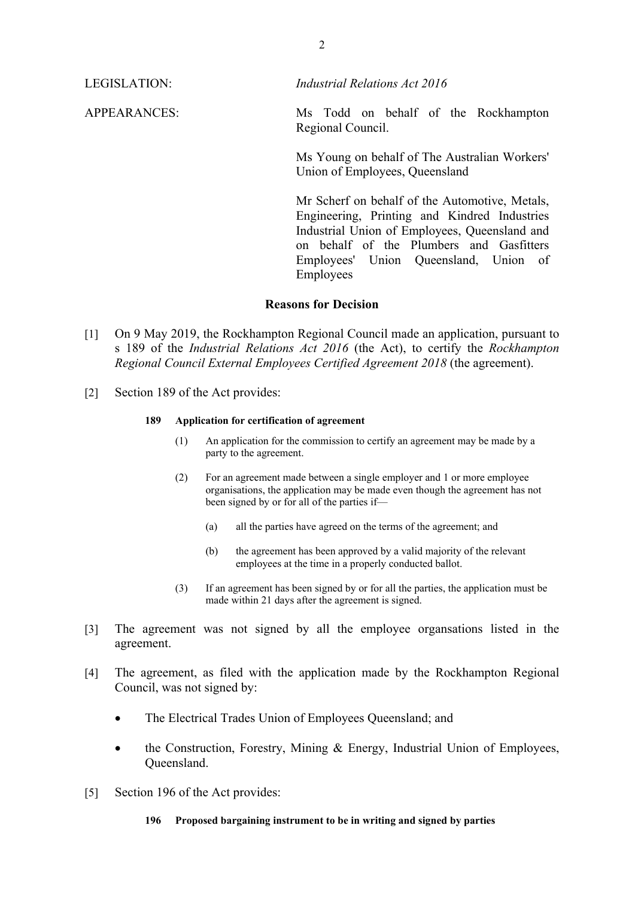LEGISLATION: *Industrial Relations Act 2016* 

APPEARANCES: Ms Todd on behalf of the Rockhampton Regional Council.

> Ms Young on behalf of The Australian Workers' Union of Employees, Queensland

> Mr Scherf on behalf of the Automotive, Metals, Engineering, Printing and Kindred Industries Industrial Union of Employees, Queensland and on behalf of the Plumbers and Gasfitters Employees' Union Queensland, Union of Employees

## **Reasons for Decision**

- [1] On 9 May 2019, the Rockhampton Regional Council made an application, pursuant to s 189 of the *Industrial Relations Act 2016* (the Act), to certify the *Rockhampton Regional Council External Employees Certified Agreement 2018* (the agreement).
- [2] Section 189 of the Act provides:

## **189 Application for certification of agreement**

- (1) An application for the commission to certify an agreement may be made by a party to the agreement.
- (2) For an agreement made between a single employer and 1 or more employee organisations, the application may be made even though the agreement has not been signed by or for all of the parties if—
	- (a) all the parties have agreed on the terms of the agreement; and
	- (b) the agreement has been approved by a valid majority of the relevant employees at the time in a properly conducted ballot.
- (3) If an agreement has been signed by or for all the parties, the application must be made within 21 days after the agreement is signed.
- [3] The agreement was not signed by all the employee organsations listed in the agreement.
- [4] The agreement, as filed with the application made by the Rockhampton Regional Council, was not signed by:
	- The Electrical Trades Union of Employees Oueensland; and
	- the Construction, Forestry, Mining & Energy, Industrial Union of Employees, Queensland.
- [5] Section 196 of the Act provides:
	- **196 Proposed bargaining instrument to be in writing and signed by parties**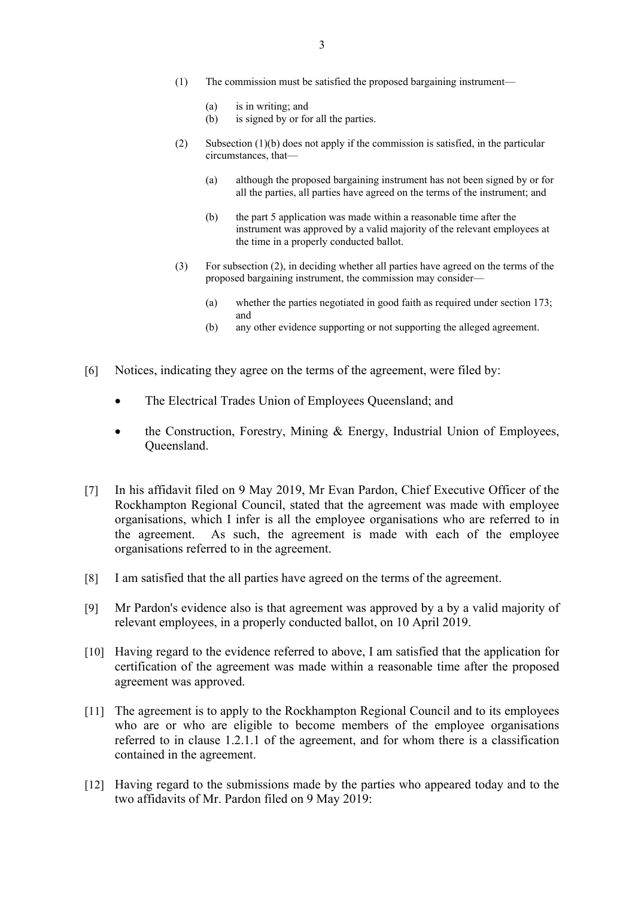- (1) The commission must be satisfied the proposed bargaining instrument—
	- (a) is in writing; and
	- (b) is signed by or for all the parties.
- (2) Subsection (1)(b) does not apply if the commission is satisfied, in the particular circumstances, that—
	- (a) although the proposed bargaining instrument has not been signed by or for all the parties, all parties have agreed on the terms of the instrument; and
	- (b) the part 5 application was made within a reasonable time after the instrument was approved by a valid majority of the relevant employees at the time in a properly conducted ballot.
- (3) For subsection (2), in deciding whether all parties have agreed on the terms of the proposed bargaining instrument, the commission may consider—
	- (a) whether the parties negotiated in good faith as required under section 173; and
	- (b) any other evidence supporting or not supporting the alleged agreement.
- [6] Notices, indicating they agree on the terms of the agreement, were filed by:
	- The Electrical Trades Union of Employees Queensland; and
	- the Construction, Forestry, Mining & Energy, Industrial Union of Employees, Queensland.
- [7] In his affidavit filed on 9 May 2019, Mr Evan Pardon, Chief Executive Officer of the Rockhampton Regional Council, stated that the agreement was made with employee organisations, which I infer is all the employee organisations who are referred to in the agreement. As such, the agreement is made with each of the employee organisations referred to in the agreement.
- [8] I am satisfied that the all parties have agreed on the terms of the agreement.
- [9] Mr Pardon's evidence also is that agreement was approved by a by a valid majority of relevant employees, in a properly conducted ballot, on 10 April 2019.
- [10] Having regard to the evidence referred to above, I am satisfied that the application for certification of the agreement was made within a reasonable time after the proposed agreement was approved.
- [11] The agreement is to apply to the Rockhampton Regional Council and to its employees who are or who are eligible to become members of the employee organisations referred to in clause 1.2.1.1 of the agreement, and for whom there is a classification contained in the agreement.
- [12] Having regard to the submissions made by the parties who appeared today and to the two affidavits of Mr. Pardon filed on 9 May 2019: